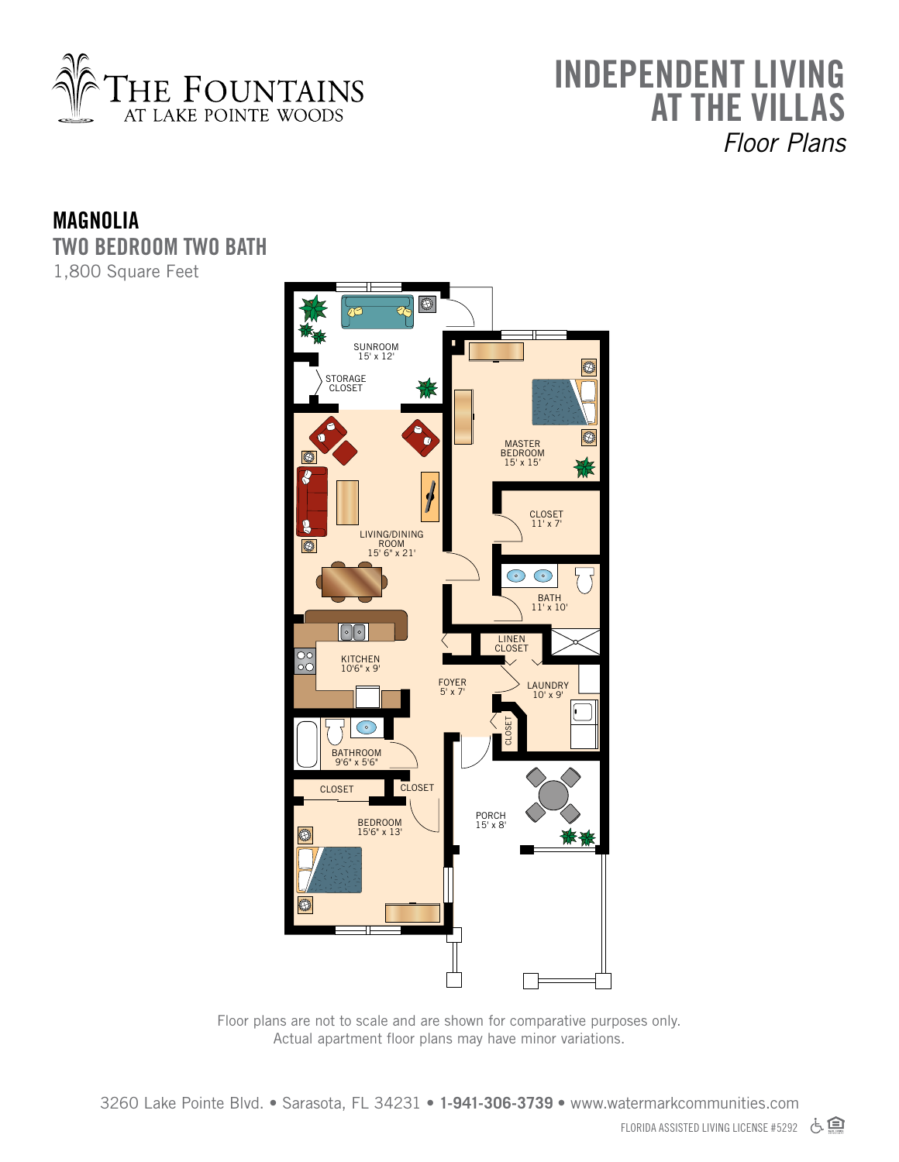

## **INDEPENDENT LI AT THE VILLAS** *Floor Plans*

## **MAGNOLIA TWO BEDROOM TWO BATH** 1,800 Square Feet



Floor plans are not to scale and are shown for comparative purposes only. Actual apartment floor plans may have minor variations.